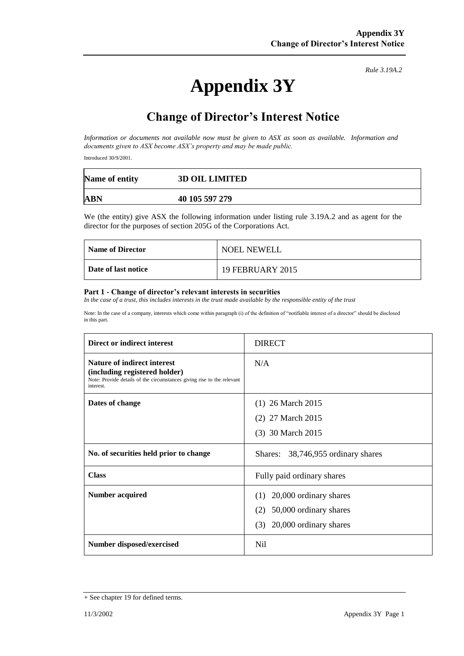# **Appendix 3Y**

*Rule 3.19A.2*

# **Change of Director's Interest Notice**

*Information or documents not available now must be given to ASX as soon as available. Information and documents given to ASX become ASX's property and may be made public.*

Introduced 30/9/2001.

| Name of entity | <b>3D OIL LIMITED</b> |
|----------------|-----------------------|
| ABN            | 40 105 597 279        |

We (the entity) give ASX the following information under listing rule 3.19A.2 and as agent for the director for the purposes of section 205G of the Corporations Act.

| <b>Name of Director</b> | <b>NOEL NEWELL</b>      |
|-------------------------|-------------------------|
| Date of last notice     | <b>19 FEBRUARY 2015</b> |

#### **Part 1 - Change of director's relevant interests in securities**

*In the case of a trust, this includes interests in the trust made available by the responsible entity of the trust*

Note: In the case of a company, interests which come within paragraph (i) of the definition of "notifiable interest of a director" should be disclosed in this part.

| Direct or indirect interest                                                                                                                                | <b>DIRECT</b>                         |  |
|------------------------------------------------------------------------------------------------------------------------------------------------------------|---------------------------------------|--|
| <b>Nature of indirect interest</b><br>(including registered holder)<br>Note: Provide details of the circumstances giving rise to the relevant<br>interest. | N/A                                   |  |
| Dates of change                                                                                                                                            | $(1)$ 26 March 2015                   |  |
|                                                                                                                                                            | (2) 27 March 2015                     |  |
|                                                                                                                                                            | (3) 30 March 2015                     |  |
| No. of securities held prior to change                                                                                                                     | 38,746,955 ordinary shares<br>Shares: |  |
| <b>Class</b>                                                                                                                                               | Fully paid ordinary shares            |  |
| Number acquired                                                                                                                                            | 20,000 ordinary shares<br>(1)         |  |
|                                                                                                                                                            | 50,000 ordinary shares<br>(2)         |  |
|                                                                                                                                                            | (3)<br>20,000 ordinary shares         |  |
| Number disposed/exercised                                                                                                                                  | Nil                                   |  |

<sup>+</sup> See chapter 19 for defined terms.